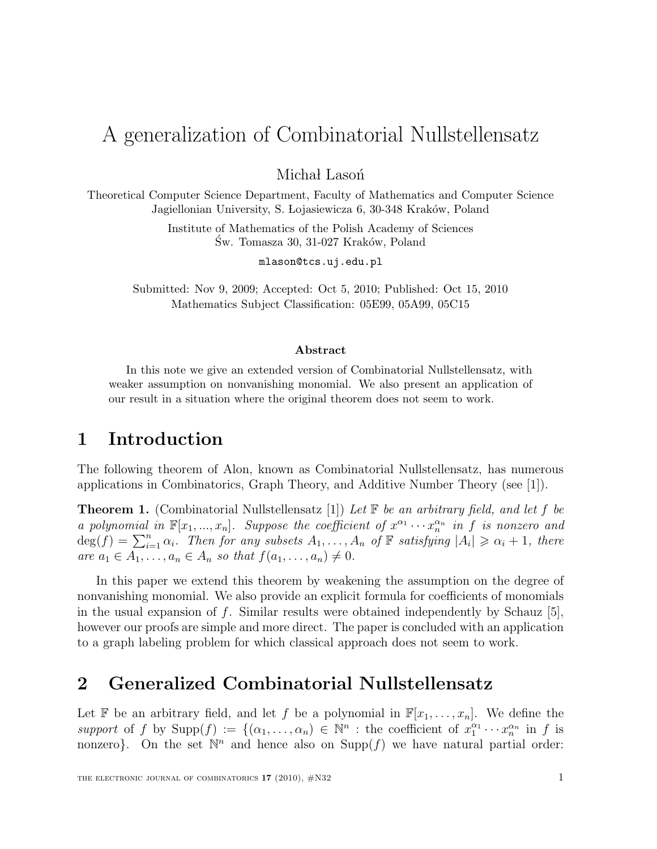# A generalization of Combinatorial Nullstellensatz

Michał Lasoń

Theoretical Computer Science Department, Faculty of Mathematics and Computer Science Jagiellonian University, S. Lojasiewicza 6, 30-348 Kraków, Poland

> Institute of Mathematics of the Polish Academy of Sciences Św. Tomasza 30, 31-027 Kraków, Poland

> > mlason@tcs.uj.edu.pl

Submitted: Nov 9, 2009; Accepted: Oct 5, 2010; Published: Oct 15, 2010 Mathematics Subject Classification: 05E99, 05A99, 05C15

#### Abstract

In this note we give an extended version of Combinatorial Nullstellensatz, with weaker assumption on nonvanishing monomial. We also present an application of our result in a situation where the original theorem does not seem to work.

### 1 Introduction

The following theorem of Alon, known as Combinatorial Nullstellensatz, has numerous applications in Combinatorics, Graph Theory, and Additive Number Theory (see [1]).

**Theorem 1.** (Combinatorial Nullstellensatz [1]) Let  $\mathbb{F}$  be an arbitrary field, and let f be a polynomial in  $\mathbb{F}[x_1, ..., x_n]$ . Suppose the coefficient of  $x^{\alpha_1} \cdots x_n^{\alpha_n}$  in f is nonzero and  $deg(f) = \sum_{i=1}^{n} \alpha_i$ . Then for any subsets  $A_1, \ldots, A_n$  of  $\mathbb{F}$  satisfying  $|A_i| \geq \alpha_i + 1$ , there are  $a_1 \in A_1, \ldots, a_n \in A_n$  so that  $f(a_1, \ldots, a_n) \neq 0$ .

In this paper we extend this theorem by weakening the assumption on the degree of nonvanishing monomial. We also provide an explicit formula for coefficients of monomials in the usual expansion of f. Similar results were obtained independently by Schauz  $[5]$ , however our proofs are simple and more direct. The paper is concluded with an application to a graph labeling problem for which classical approach does not seem to work.

#### 2 Generalized Combinatorial Nullstellensatz

Let F be an arbitrary field, and let f be a polynomial in  $\mathbb{F}[x_1, \ldots, x_n]$ . We define the support of f by  $\text{Supp}(f) := \{(\alpha_1, \ldots, \alpha_n) \in \mathbb{N}^n : \text{the coefficient of } x_1^{\alpha_1} \}$  $x_1^{\alpha_1} \cdots x_n^{\alpha_n}$  in f is nonzero}. On the set  $\mathbb{N}^n$  and hence also on  $\text{Supp}(f)$  we have natural partial order: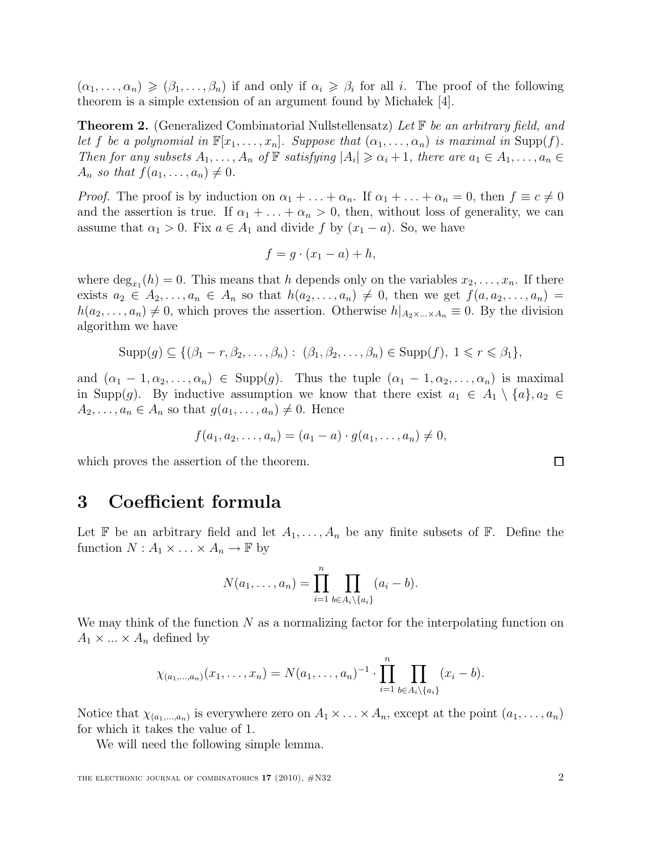$(\alpha_1,\ldots,\alpha_n) \geq (\beta_1,\ldots,\beta_n)$  if and only if  $\alpha_i \geq \beta_i$  for all i. The proof of the following theorem is a simple extension of an argument found by Michalek  $[4]$ .

**Theorem 2.** (Generalized Combinatorial Nullstellensatz) Let F be an arbitrary field, and let f be a polynomial in  $\mathbb{F}[x_1,\ldots,x_n]$ . Suppose that  $(\alpha_1,\ldots,\alpha_n)$  is maximal in Supp(f). Then for any subsets  $A_1, \ldots, A_n$  of  $\mathbb F$  satisfying  $|A_i| \geq \alpha_i + 1$ , there are  $a_1 \in A_1, \ldots, a_n \in A_n$  $A_n$  so that  $f(a_1, \ldots, a_n) \neq 0$ .

*Proof.* The proof is by induction on  $\alpha_1 + \ldots + \alpha_n$ . If  $\alpha_1 + \ldots + \alpha_n = 0$ , then  $f \equiv c \neq 0$ and the assertion is true. If  $\alpha_1 + \ldots + \alpha_n > 0$ , then, without loss of generality, we can assume that  $\alpha_1 > 0$ . Fix  $a \in A_1$  and divide f by  $(x_1 - a)$ . So, we have

$$
f = g \cdot (x_1 - a) + h,
$$

where  $\deg_{x_1}(h) = 0$ . This means that h depends only on the variables  $x_2, \ldots, x_n$ . If there exists  $a_2 \in A_2, \ldots, a_n \in A_n$  so that  $h(a_2, \ldots, a_n) \neq 0$ , then we get  $f(a, a_2, \ldots, a_n) =$  $h(a_2, \ldots, a_n) \neq 0$ , which proves the assertion. Otherwise  $h|_{A_2 \times \ldots \times A_n} \equiv 0$ . By the division algorithm we have

$$
Supp(g) \subseteq \{(\beta_1 - r, \beta_2, \dots, \beta_n) : (\beta_1, \beta_2, \dots, \beta_n) \in Supp(f), 1 \leq r \leq \beta_1\},\
$$

and  $(\alpha_1 - 1, \alpha_2, \ldots, \alpha_n) \in \text{Supp}(g)$ . Thus the tuple  $(\alpha_1 - 1, \alpha_2, \ldots, \alpha_n)$  is maximal in Supp(g). By inductive assumption we know that there exist  $a_1 \in A_1 \setminus \{a\}, a_2 \in$  $A_2, \ldots, a_n \in A_n$  so that  $g(a_1, \ldots, a_n) \neq 0$ . Hence

$$
f(a_1, a_2, \ldots, a_n) = (a_1 - a) \cdot g(a_1, \ldots, a_n) \neq 0,
$$

which proves the assertion of the theorem.

#### 3 Coefficient formula

Let  $\mathbb F$  be an arbitrary field and let  $A_1, \ldots, A_n$  be any finite subsets of  $\mathbb F$ . Define the function  $N : A_1 \times \ldots \times A_n \to \mathbb{F}$  by

$$
N(a_1,\ldots,a_n)=\prod_{i=1}^n\prod_{b\in A_i\setminus\{a_i\}}(a_i-b).
$$

We may think of the function  $N$  as a normalizing factor for the interpolating function on  $A_1 \times ... \times A_n$  defined by

$$
\chi_{(a_1,...,a_n)}(x_1,...,x_n)=N(a_1,...,a_n)^{-1}\cdot\prod_{i=1}^n\prod_{b\in A_i\setminus\{a_i\}}(x_i-b).
$$

Notice that  $\chi_{(a_1,...,a_n)}$  is everywhere zero on  $A_1 \times ... \times A_n$ , except at the point  $(a_1,...,a_n)$ for which it takes the value of 1.

We will need the following simple lemma.

 $\Box$ 

THE ELECTRONIC JOURNAL OF COMBINATORICS  $17$  (2010),  $\#N32$  2 2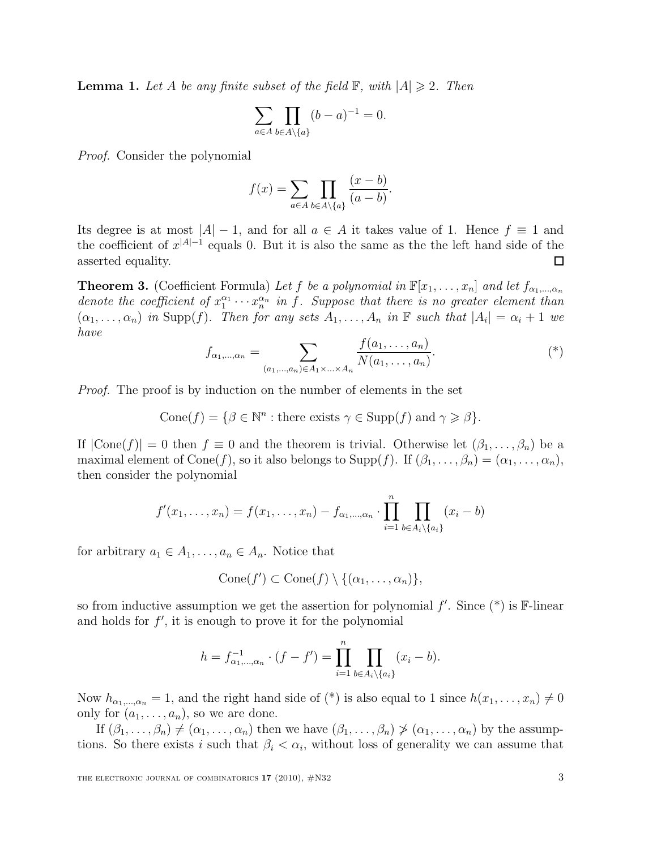**Lemma 1.** Let A be any finite subset of the field  $\mathbb{F}$ , with  $|A| \geq 2$ . Then

$$
\sum_{a\in A}\prod_{b\in A\setminus\{a\}}(b-a)^{-1}=0.
$$

Proof. Consider the polynomial

$$
f(x) = \sum_{a \in A} \prod_{b \in A \setminus \{a\}} \frac{(x - b)}{(a - b)}.
$$

Its degree is at most  $|A| - 1$ , and for all  $a \in A$  it takes value of 1. Hence  $f \equiv 1$  and the coefficient of  $x^{|A|-1}$  equals 0. But it is also the same as the the left hand side of the asserted equality. □

**Theorem 3.** (Coefficient Formula) Let f be a polynomial in  $\mathbb{F}[x_1, \ldots, x_n]$  and let  $f_{\alpha_1,\ldots,\alpha_n}$ denote the coefficient of  $x_1^{\alpha_1}$  $a_1^{\alpha_1} \cdots a_n^{\alpha_n}$  in f. Suppose that there is no greater element than  $(\alpha_1, \ldots, \alpha_n)$  in Supp $(f)$ . Then for any sets  $A_1, \ldots, A_n$  in  $\mathbb F$  such that  $|A_i| = \alpha_i + 1$  we have

$$
f_{\alpha_1,\dots,\alpha_n} = \sum_{(a_1,\dots,a_n)\in A_1\times\ldots\times A_n} \frac{f(a_1,\dots,a_n)}{N(a_1,\dots,a_n)}.
$$
<sup>(\*)</sup>

*Proof.* The proof is by induction on the number of elements in the set

Cone(f) = { $\beta \in \mathbb{N}^n$ : there exists  $\gamma \in \text{Supp}(f)$  and  $\gamma \geq \beta$ }.

If  $|\text{Cone}(f)| = 0$  then  $f \equiv 0$  and the theorem is trivial. Otherwise let  $(\beta_1, \ldots, \beta_n)$  be a maximal element of Cone(f), so it also belongs to Supp(f). If  $(\beta_1, \ldots, \beta_n) = (\alpha_1, \ldots, \alpha_n)$ , then consider the polynomial

$$
f'(x_1,...,x_n) = f(x_1,...,x_n) - f_{\alpha_1,...,\alpha_n} \cdot \prod_{i=1}^n \prod_{b \in A_i \setminus \{a_i\}} (x_i - b)
$$

for arbitrary  $a_1 \in A_1, \ldots, a_n \in A_n$ . Notice that

$$
Cone(f') \subset Cone(f) \setminus \{(\alpha_1, \ldots, \alpha_n)\},
$$

so from inductive assumption we get the assertion for polynomial  $f'$ . Since  $(*)$  is  $\mathbb{F}\text{-linear}$ and holds for  $f'$ , it is enough to prove it for the polynomial

$$
h = f_{\alpha_1, \dots, \alpha_n}^{-1} \cdot (f - f') = \prod_{i=1}^n \prod_{b \in A_i \setminus \{a_i\}} (x_i - b).
$$

Now  $h_{\alpha_1,\dots,\alpha_n} = 1$ , and the right hand side of  $(*)$  is also equal to 1 since  $h(x_1,\dots,x_n) \neq 0$ only for  $(a_1, \ldots, a_n)$ , so we are done.

If  $(\beta_1,\ldots,\beta_n)\neq (\alpha_1,\ldots,\alpha_n)$  then we have  $(\beta_1,\ldots,\beta_n)\ngeq (\alpha_1,\ldots,\alpha_n)$  by the assumptions. So there exists i such that  $\beta_i < \alpha_i$ , without loss of generality we can assume that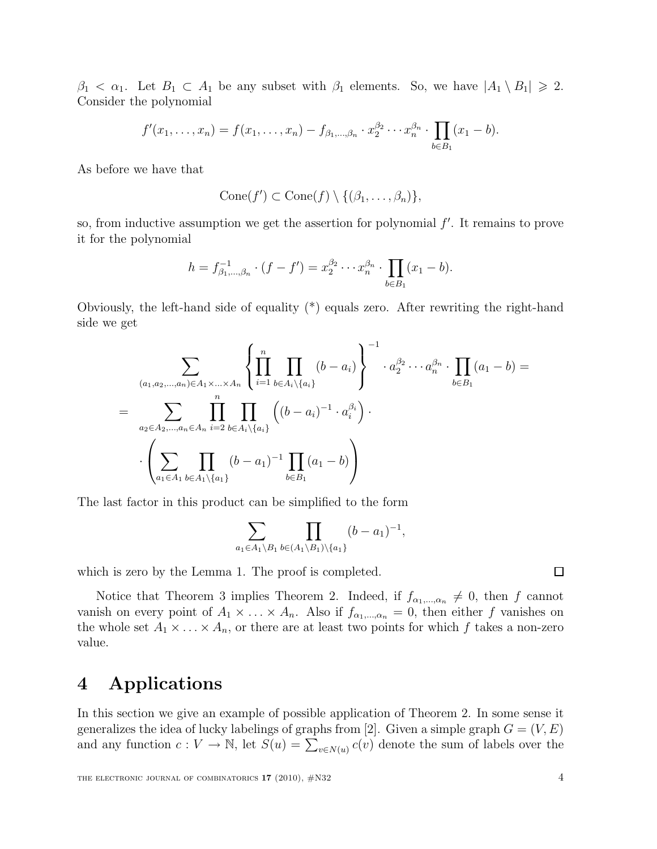$\beta_1 < \alpha_1$ . Let  $B_1 \subset A_1$  be any subset with  $\beta_1$  elements. So, we have  $|A_1 \setminus B_1| \geq 2$ . Consider the polynomial

$$
f'(x_1,...,x_n) = f(x_1,...,x_n) - f_{\beta_1,...,\beta_n} \cdot x_2^{\beta_2} \cdots x_n^{\beta_n} \cdot \prod_{b \in B_1} (x_1 - b).
$$

As before we have that

$$
Cone(f') \subset Cone(f) \setminus \{(\beta_1, \ldots, \beta_n)\},
$$

so, from inductive assumption we get the assertion for polynomial  $f'$ . It remains to prove it for the polynomial

$$
h = f_{\beta_1,\dots,\beta_n}^{-1} \cdot (f - f') = x_2^{\beta_2} \cdots x_n^{\beta_n} \cdot \prod_{b \in B_1} (x_1 - b).
$$

Obviously, the left-hand side of equality (\*) equals zero. After rewriting the right-hand side we get

$$
\sum_{(a_1, a_2, \dots, a_n) \in A_1 \times \dots \times A_n} \left\{ \prod_{i=1}^n \prod_{b \in A_i \setminus \{a_i\}} (b - a_i) \right\} ^{-1} \cdot a_2^{\beta_2} \cdots a_n^{\beta_n} \cdot \prod_{b \in B_1} (a_1 - b) =
$$
\n
$$
= \sum_{a_2 \in A_2, \dots, a_n \in A_n} \prod_{i=2}^n \prod_{b \in A_i \setminus \{a_i\}} \left( (b - a_i)^{-1} \cdot a_i^{\beta_i} \right) \cdot \left( \sum_{a_1 \in A_1} \prod_{b \in A_1 \setminus \{a_1\}} (b - a_1)^{-1} \prod_{b \in B_1} (a_1 - b) \right)
$$

The last factor in this product can be simplified to the form

$$
\sum_{a_1 \in A_1 \setminus B_1} \prod_{b \in (A_1 \setminus B_1) \setminus \{a_1\}} (b - a_1)^{-1},
$$

which is zero by the Lemma 1. The proof is completed.

Notice that Theorem 3 implies Theorem 2. Indeed, if  $f_{\alpha_1,\dots,\alpha_n} \neq 0$ , then f cannot vanish on every point of  $A_1 \times \ldots \times A_n$ . Also if  $f_{\alpha_1,\ldots,\alpha_n} = 0$ , then either f vanishes on the whole set  $A_1 \times \ldots \times A_n$ , or there are at least two points for which f takes a non-zero value.

#### 4 Applications

In this section we give an example of possible application of Theorem 2. In some sense it generalizes the idea of lucky labelings of graphs from [2]. Given a simple graph  $G = (V, E)$ and any function  $c: V \to \mathbb{N}$ , let  $S(u) = \sum_{v \in N(u)} c(v)$  denote the sum of labels over the

$$
\Box
$$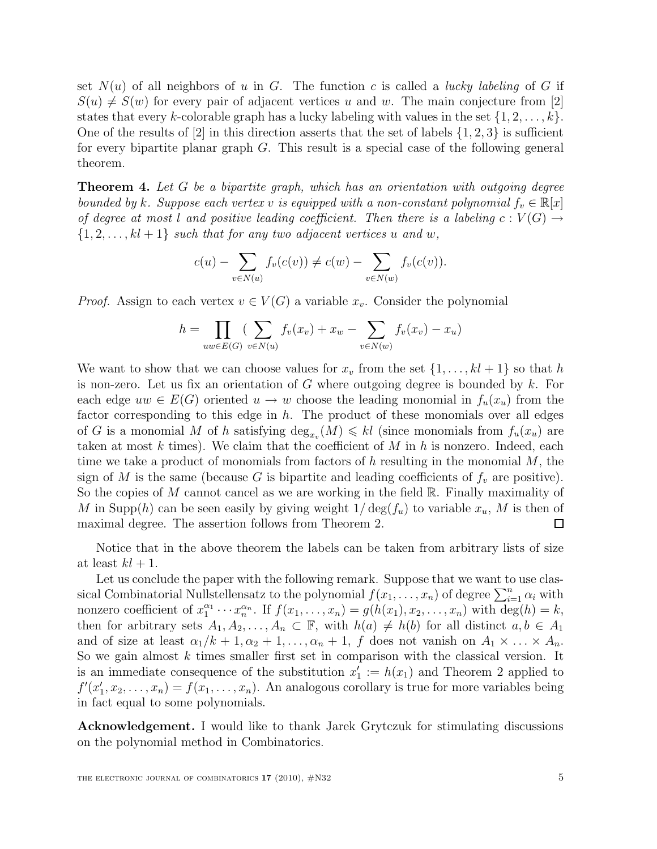set  $N(u)$  of all neighbors of u in G. The function c is called a *lucky labeling* of G if  $S(u) \neq S(w)$  for every pair of adjacent vertices u and w. The main conjecture from [2] states that every k-colorable graph has a lucky labeling with values in the set  $\{1, 2, \ldots, k\}$ . One of the results of  $[2]$  in this direction asserts that the set of labels  $\{1, 2, 3\}$  is sufficient for every bipartite planar graph G. This result is a special case of the following general theorem.

Theorem 4. Let G be a bipartite graph, which has an orientation with outgoing degree bounded by k. Suppose each vertex v is equipped with a non-constant polynomial  $f_v \in \mathbb{R}[x]$ of degree at most l and positive leading coefficient. Then there is a labeling  $c: V(G) \rightarrow$  $\{1, 2, \ldots, k\ell + 1\}$  such that for any two adjacent vertices u and w,

$$
c(u) - \sum_{v \in N(u)} f_v(c(v)) \neq c(w) - \sum_{v \in N(w)} f_v(c(v)).
$$

*Proof.* Assign to each vertex  $v \in V(G)$  a variable  $x_v$ . Consider the polynomial

$$
h = \prod_{uw \in E(G)} (\sum_{v \in N(u)} f_v(x_v) + x_w - \sum_{v \in N(w)} f_v(x_v) - x_u)
$$

We want to show that we can choose values for  $x_v$  from the set  $\{1, \ldots, kl+1\}$  so that h is non-zero. Let us fix an orientation of G where outgoing degree is bounded by  $k$ . For each edge  $uw \in E(G)$  oriented  $u \to w$  choose the leading monomial in  $f_u(x_u)$  from the factor corresponding to this edge in  $h$ . The product of these monomials over all edges of G is a monomial M of h satisfying  $\deg_{x_v}(M) \leq k$  (since monomials from  $f_u(x_u)$ ) are taken at most k times). We claim that the coefficient of M in h is nonzero. Indeed, each time we take a product of monomials from factors of h resulting in the monomial  $M$ , the sign of M is the same (because G is bipartite and leading coefficients of  $f_v$  are positive). So the copies of  $M$  cannot cancel as we are working in the field  $\mathbb{R}$ . Finally maximality of M in Supp(h) can be seen easily by giving weight  $1/\deg(f_u)$  to variable  $x_u$ , M is then of maximal degree. The assertion follows from Theorem 2.  $\Box$ 

Notice that in the above theorem the labels can be taken from arbitrary lists of size at least  $kl + 1$ .

Let us conclude the paper with the following remark. Suppose that we want to use classical Combinatorial Nullstellensatz to the polynomial  $f(x_1, \ldots, x_n)$  of degree  $\sum_{i=1}^n \alpha_i$  with nonzero coefficient of  $x_1^{\alpha_1}$  $x_1^{\alpha_1} \cdots x_n^{\alpha_n}$ . If  $f(x_1, ..., x_n) = g(h(x_1), x_2, ..., x_n)$  with  $\deg(h) = k$ , then for arbitrary sets  $A_1, A_2, \ldots, A_n \subset \mathbb{F}$ , with  $h(a) \neq h(b)$  for all distinct  $a, b \in A_1$ and of size at least  $\alpha_1/k + 1, \alpha_2 + 1, \ldots, \alpha_n + 1$ , f does not vanish on  $A_1 \times \ldots \times A_n$ . So we gain almost  $k$  times smaller first set in comparison with the classical version. It is an immediate consequence of the substitution  $x'_1 := h(x_1)$  and Theorem 2 applied to  $f'(x'_1, x_2, \ldots, x_n) = f(x_1, \ldots, x_n)$ . An analogous corollary is true for more variables being in fact equal to some polynomials.

Acknowledgement. I would like to thank Jarek Grytczuk for stimulating discussions on the polynomial method in Combinatorics.